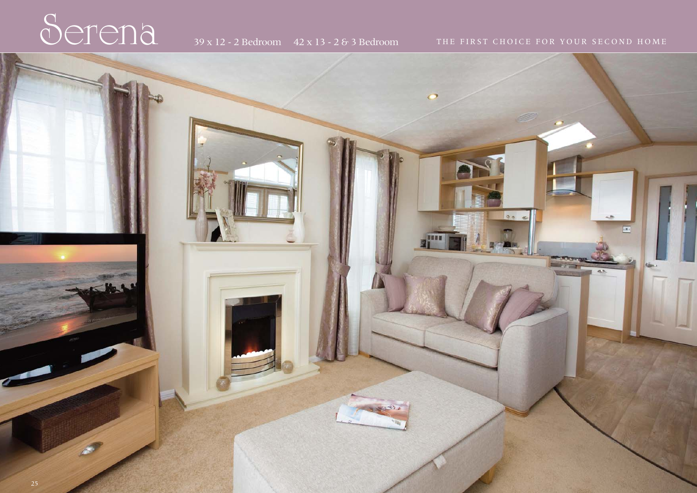## Served 39 x 12 - 2 Bedroom 42 x 13 - 2 & 3 Bedroom THE FIRST CHOICE FOR YOUR SECOND HOME

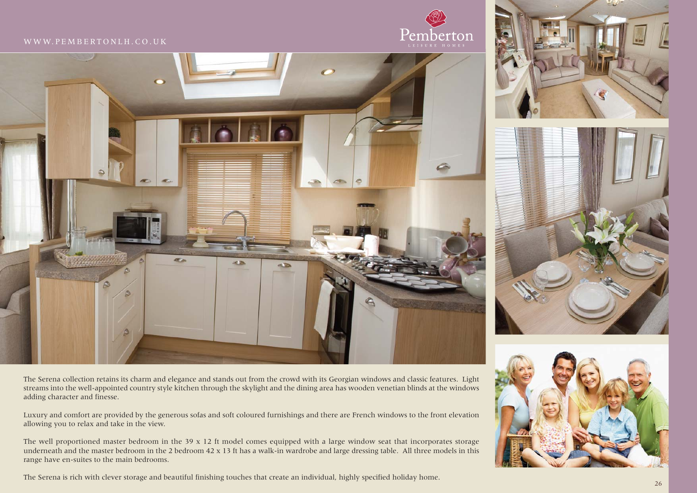### WWW.PEMBERTONLH.CO.UK





The Serena collection retains its charm and elegance and stands out from the crowd with its Georgian windows and classic features. Light streams into the well-appointed country style kitchen through the skylight and the dining area has wooden venetian blinds at the windows adding character and finesse.

Luxury and comfort are provided by the generous sofas and soft coloured furnishings and there are French windows to the front elevation allowing you to relax and take in the view.

The well proportioned master bedroom in the  $39 \times 12$  ft model comes equipped with a large window seat that incorporates storage underneath and the master bedroom in the 2 bedroom 42 x 13 ft has a walk-in wardrobe and large dressing table. All three models in this range have en-suites to the main bedrooms.

The Serena is rich with clever storage and beautiful finishing touches that create an individual, highly specified holiday home.

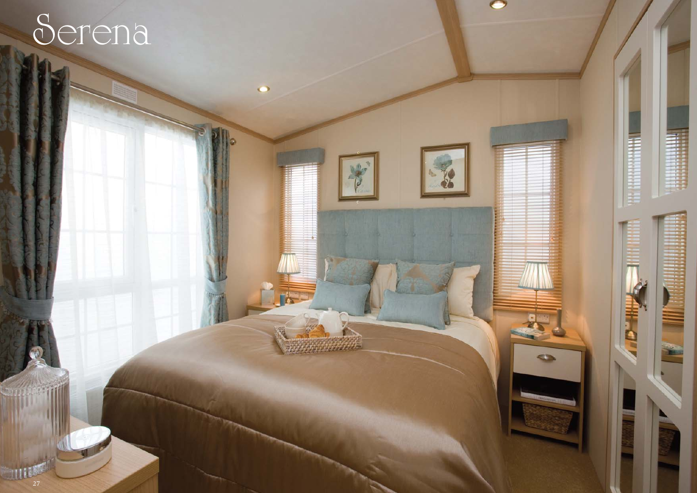# Serena



 $\bullet$ 

rie-

1653554556

 $\bullet$ 

E.

**CT**